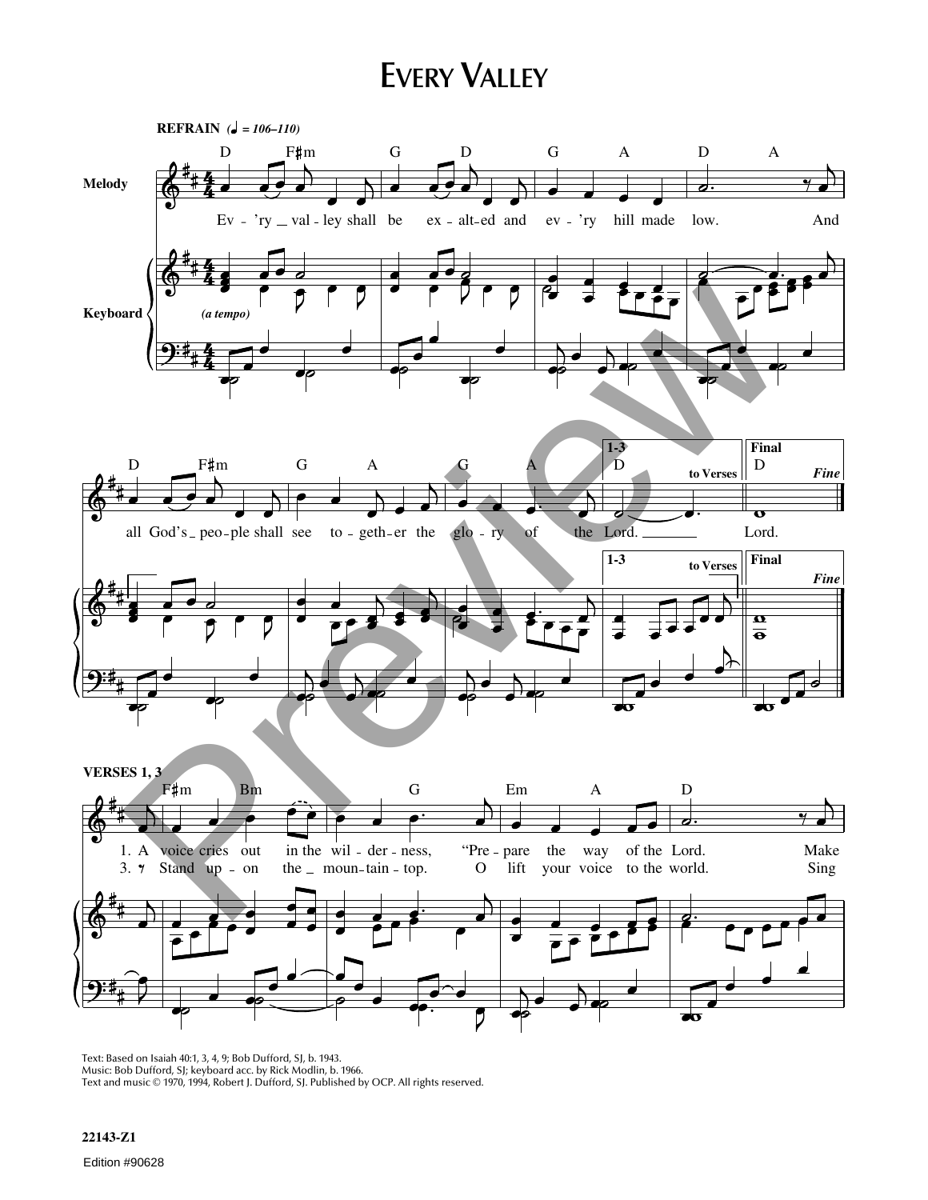## **EVERY VALLEY**



Text: Based on Isaiah 40:1, 3, 4, 9; Bob Dufford, SJ, b. 1943. Music: Bob Dufford, SJ; keyboard acc. by Rick Modlin, b. 1966. Text and music © 1970, 1994, Robert J. Dufford, SJ. Published by OCP. All rights reserved.